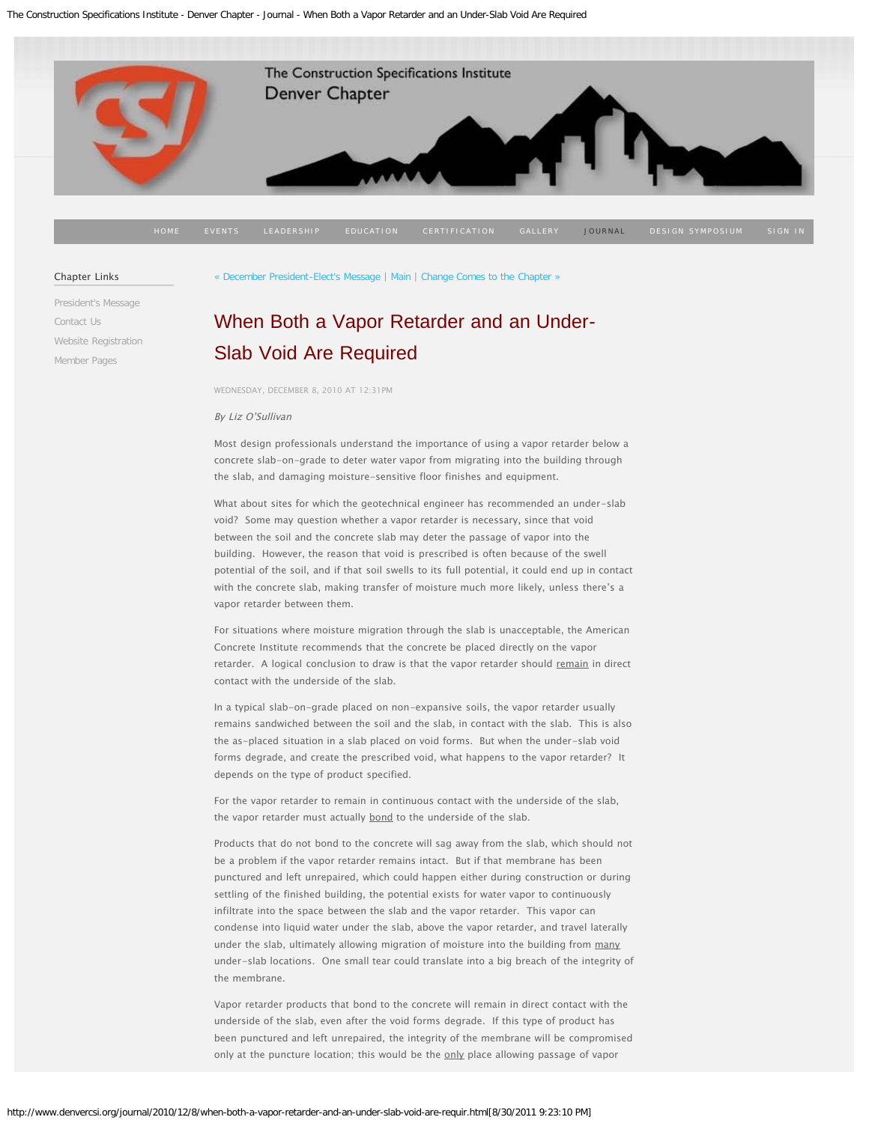<span id="page-0-0"></span>

#### Chapter Links

[President's Message](http://www.denvercsi.org/presidents-message/) [Contact Us](http://www.denvercsi.org/contact-us-denver-csi/) [Website Registration](http://www.denvercsi.org/website-registration/) [Member Pages](http://www.denvercsi.org/welcome-members/)

[« December President-Elect's Message](http://www.denvercsi.org/journal/2010/12/8/december-president-elects-message.html) | [Main](http://www.denvercsi.org/journal/) | [Change Comes to the Chapter »](http://www.denvercsi.org/journal/2010/11/3/change-comes-to-the-chapter.html)

# [When Both a Vapor Retarder and an Under-](#page-0-0)[Slab Void Are](#page-0-0) Required

WEDNESDAY, DECEMBER 8, 2010 AT 12:31PM

#### By Liz O'Sullivan

Most design professionals understand the importance of using a vapor retarder below a concrete slab-on-grade to deter water vapor from migrating into the building through the slab, and damaging moisture-sensitive floor finishes and equipment.

What about sites for which the geotechnical engineer has recommended an under-slab void? Some may question whether a vapor retarder is necessary, since that void between the soil and the concrete slab may deter the passage of vapor into the building. However, the reason that void is prescribed is often because of the swell potential of the soil, and if that soil swells to its full potential, it could end up in contact with the concrete slab, making transfer of moisture much more likely, unless there's a vapor retarder between them.

For situations where moisture migration through the slab is unacceptable, the American Concrete Institute recommends that the concrete be placed directly on the vapor retarder. A logical conclusion to draw is that the vapor retarder should remain in direct contact with the underside of the slab.

In a typical slab-on-grade placed on non-expansive soils, the vapor retarder usually remains sandwiched between the soil and the slab, in contact with the slab. This is also the as-placed situation in a slab placed on void forms. But when the under-slab void forms degrade, and create the prescribed void, what happens to the vapor retarder? It depends on the type of product specified.

For the vapor retarder to remain in continuous contact with the underside of the slab, the vapor retarder must actually bond to the underside of the slab.

Products that do not bond to the concrete will sag away from the slab, which should not be a problem if the vapor retarder remains intact. But if that membrane has been punctured and left unrepaired, which could happen either during construction or during settling of the finished building, the potential exists for water vapor to continuously infiltrate into the space between the slab and the vapor retarder. This vapor can condense into liquid water under the slab, above the vapor retarder, and travel laterally under the slab, ultimately allowing migration of moisture into the building from many under-slab locations. One small tear could translate into a big breach of the integrity of the membrane.

Vapor retarder products that bond to the concrete will remain in direct contact with the underside of the slab, even after the void forms degrade. If this type of product has been punctured and left unrepaired, the integrity of the membrane will be compromised only at the puncture location; this would be the only place allowing passage of vapor